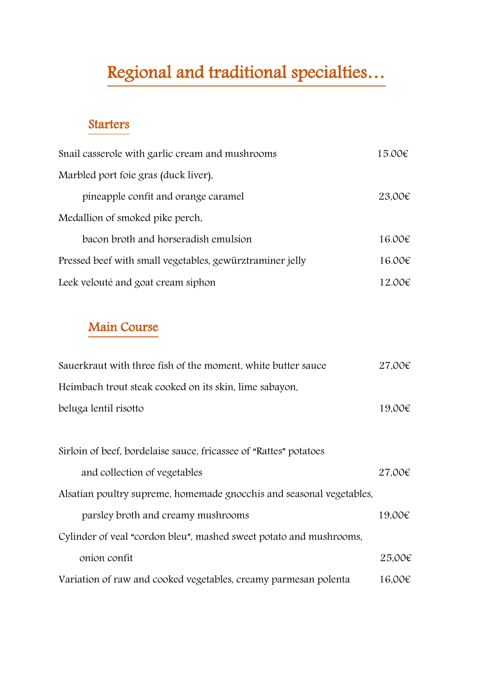# Regional and traditional specialties…

## Starters

| Snail casserole with garlic cream and mushrooms          | 15.00€ |
|----------------------------------------------------------|--------|
| Marbled port foie gras (duck liver).                     |        |
| pineapple confit and orange caramel                      | 23.00€ |
| Medallion of smoked pike perch,                          |        |
| bacon broth and horseradish emulsion                     | 16.00€ |
| Pressed beef with small vegetables, gewürztraminer jelly | 16.00€ |
| Leek velouté and goat cream siphon                       | 12.00€ |

## Main Course

| Sauerkraut with three fish of the moment, white butter sauce         | 27.00€      |
|----------------------------------------------------------------------|-------------|
| Heimbach trout steak cooked on its skin, lime sabayon,               |             |
| beluga lentil risotto                                                | 19.00€      |
|                                                                      |             |
| Sirloin of beef, bordelaise sauce, fricassee of "Rattes" potatoes    |             |
| and collection of vegetables                                         | 27.00€      |
| Alsatian poultry supreme, homemade gnocchis and seasonal vegetables, |             |
| parsley broth and creamy mushrooms                                   | 19.00€      |
| Cylinder of veal "cordon bleu", mashed sweet potato and mushrooms,   |             |
| onion confit                                                         | 25,00€      |
| Variation of raw and cooked vegetables, creamy parmesan polenta      | $16,00 \in$ |